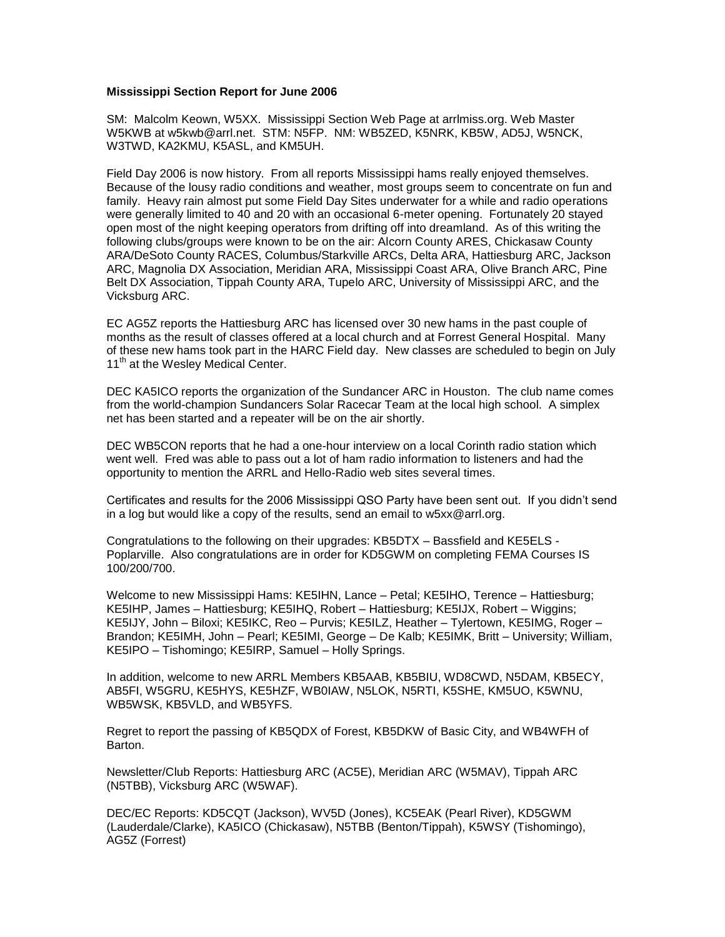## **Mississippi Section Report for June 2006**

SM: Malcolm Keown, W5XX. Mississippi Section Web Page at arrlmiss.org. Web Master W5KWB at w5kwb@arrl.net. STM: N5FP. NM: WB5ZED, K5NRK, KB5W, AD5J, W5NCK, W3TWD, KA2KMU, K5ASL, and KM5UH.

Field Day 2006 is now history. From all reports Mississippi hams really enjoyed themselves. Because of the lousy radio conditions and weather, most groups seem to concentrate on fun and family. Heavy rain almost put some Field Day Sites underwater for a while and radio operations were generally limited to 40 and 20 with an occasional 6-meter opening. Fortunately 20 stayed open most of the night keeping operators from drifting off into dreamland. As of this writing the following clubs/groups were known to be on the air: Alcorn County ARES, Chickasaw County ARA/DeSoto County RACES, Columbus/Starkville ARCs, Delta ARA, Hattiesburg ARC, Jackson ARC, Magnolia DX Association, Meridian ARA, Mississippi Coast ARA, Olive Branch ARC, Pine Belt DX Association, Tippah County ARA, Tupelo ARC, University of Mississippi ARC, and the Vicksburg ARC.

EC AG5Z reports the Hattiesburg ARC has licensed over 30 new hams in the past couple of months as the result of classes offered at a local church and at Forrest General Hospital. Many of these new hams took part in the HARC Field day. New classes are scheduled to begin on July 11<sup>th</sup> at the Wesley Medical Center.

DEC KA5ICO reports the organization of the Sundancer ARC in Houston. The club name comes from the world-champion Sundancers Solar Racecar Team at the local high school. A simplex net has been started and a repeater will be on the air shortly.

DEC WB5CON reports that he had a one-hour interview on a local Corinth radio station which went well. Fred was able to pass out a lot of ham radio information to listeners and had the opportunity to mention the ARRL and Hello-Radio web sites several times.

Certificates and results for the 2006 Mississippi QSO Party have been sent out. If you didn't send in a log but would like a copy of the results, send an email to w5xx@arrl.org.

Congratulations to the following on their upgrades: KB5DTX – Bassfield and KE5ELS - Poplarville. Also congratulations are in order for KD5GWM on completing FEMA Courses IS 100/200/700.

Welcome to new Mississippi Hams: KE5IHN, Lance – Petal; KE5IHO, Terence – Hattiesburg; KE5IHP, James – Hattiesburg; KE5IHQ, Robert – Hattiesburg; KE5IJX, Robert – Wiggins; KE5IJY, John – Biloxi; KE5IKC, Reo – Purvis; KE5ILZ, Heather – Tylertown, KE5IMG, Roger – Brandon; KE5IMH, John – Pearl; KE5IMI, George – De Kalb; KE5IMK, Britt – University; William, KE5IPO – Tishomingo; KE5IRP, Samuel – Holly Springs.

In addition, welcome to new ARRL Members KB5AAB, KB5BIU, WD8CWD, N5DAM, KB5ECY, AB5FI, W5GRU, KE5HYS, KE5HZF, WB0IAW, N5LOK, N5RTI, K5SHE, KM5UO, K5WNU, WB5WSK, KB5VLD, and WB5YFS.

Regret to report the passing of KB5QDX of Forest, KB5DKW of Basic City, and WB4WFH of Barton.

Newsletter/Club Reports: Hattiesburg ARC (AC5E), Meridian ARC (W5MAV), Tippah ARC (N5TBB), Vicksburg ARC (W5WAF).

DEC/EC Reports: KD5CQT (Jackson), WV5D (Jones), KC5EAK (Pearl River), KD5GWM (Lauderdale/Clarke), KA5ICO (Chickasaw), N5TBB (Benton/Tippah), K5WSY (Tishomingo), AG5Z (Forrest)